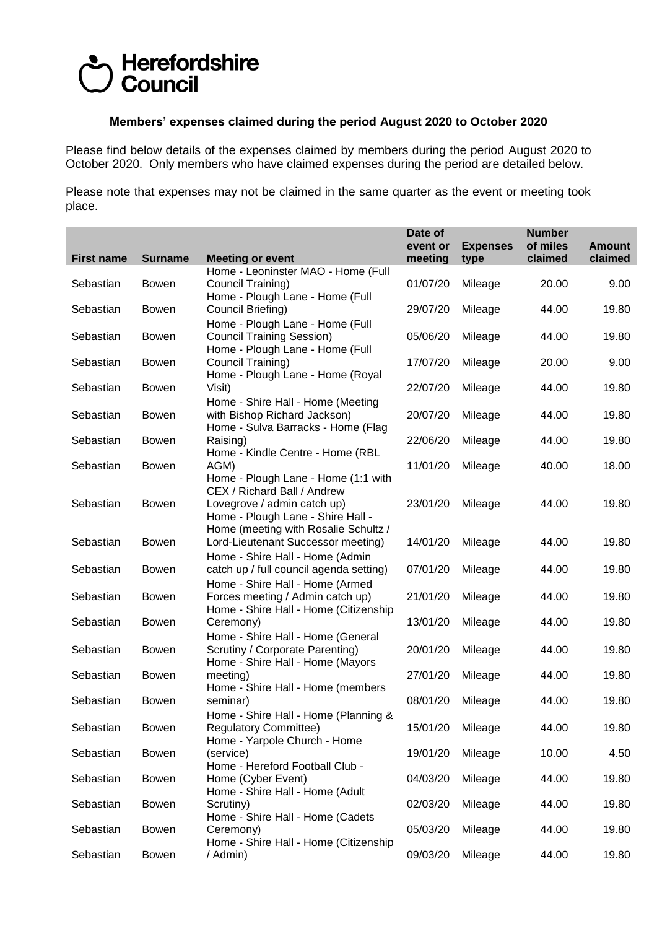## Herefordshire **Council**

## **Members' expenses claimed during the period August 2020 to October 2020**

Please find below details of the expenses claimed by members during the period August 2020 to October 2020. Only members who have claimed expenses during the period are detailed below.

Please note that expenses may not be claimed in the same quarter as the event or meeting took place.

|                                                                                                      |                                                                                    |                                                                                                                                                                                                                                                                                                                                                                                                                                                                                                                                                                                                                                   | Date of<br>event or                                                                          | <b>Expenses</b>                                                                                 | <b>Number</b><br>of miles                                            | <b>Amount</b> |
|------------------------------------------------------------------------------------------------------|------------------------------------------------------------------------------------|-----------------------------------------------------------------------------------------------------------------------------------------------------------------------------------------------------------------------------------------------------------------------------------------------------------------------------------------------------------------------------------------------------------------------------------------------------------------------------------------------------------------------------------------------------------------------------------------------------------------------------------|----------------------------------------------------------------------------------------------|-------------------------------------------------------------------------------------------------|----------------------------------------------------------------------|---------------|
| <b>First name</b>                                                                                    | <b>Surname</b>                                                                     | <b>Meeting or event</b>                                                                                                                                                                                                                                                                                                                                                                                                                                                                                                                                                                                                           | meeting                                                                                      | type                                                                                            | claimed                                                              | claimed       |
|                                                                                                      |                                                                                    | Home - Leoninster MAO - Home (Full                                                                                                                                                                                                                                                                                                                                                                                                                                                                                                                                                                                                |                                                                                              |                                                                                                 |                                                                      |               |
| Sebastian                                                                                            | Bowen                                                                              | Council Training)<br>Home - Plough Lane - Home (Full                                                                                                                                                                                                                                                                                                                                                                                                                                                                                                                                                                              | 01/07/20                                                                                     | Mileage                                                                                         | 20.00                                                                | 9.00          |
| Sebastian                                                                                            | Bowen                                                                              | Council Briefing)                                                                                                                                                                                                                                                                                                                                                                                                                                                                                                                                                                                                                 | 29/07/20                                                                                     | Mileage                                                                                         | 44.00                                                                | 19.80         |
| Sebastian                                                                                            | <b>Bowen</b>                                                                       | Home - Plough Lane - Home (Full<br><b>Council Training Session)</b>                                                                                                                                                                                                                                                                                                                                                                                                                                                                                                                                                               | 05/06/20                                                                                     | Mileage                                                                                         | 44.00                                                                | 19.80         |
|                                                                                                      |                                                                                    | Home - Plough Lane - Home (Full                                                                                                                                                                                                                                                                                                                                                                                                                                                                                                                                                                                                   |                                                                                              |                                                                                                 |                                                                      |               |
| Sebastian                                                                                            | Bowen                                                                              | Council Training)<br>Home - Plough Lane - Home (Royal                                                                                                                                                                                                                                                                                                                                                                                                                                                                                                                                                                             | 17/07/20                                                                                     | Mileage                                                                                         | 20.00                                                                | 9.00          |
| Sebastian                                                                                            | <b>Bowen</b>                                                                       | Visit)                                                                                                                                                                                                                                                                                                                                                                                                                                                                                                                                                                                                                            | 22/07/20                                                                                     | Mileage                                                                                         | 44.00                                                                | 19.80         |
|                                                                                                      |                                                                                    | Home - Shire Hall - Home (Meeting                                                                                                                                                                                                                                                                                                                                                                                                                                                                                                                                                                                                 |                                                                                              |                                                                                                 |                                                                      |               |
| Sebastian                                                                                            | Bowen                                                                              | with Bishop Richard Jackson)<br>Home - Sulva Barracks - Home (Flag                                                                                                                                                                                                                                                                                                                                                                                                                                                                                                                                                                | 20/07/20                                                                                     | Mileage                                                                                         | 44.00                                                                | 19.80         |
| Sebastian                                                                                            | <b>Bowen</b>                                                                       | Raising)                                                                                                                                                                                                                                                                                                                                                                                                                                                                                                                                                                                                                          | 22/06/20                                                                                     | Mileage                                                                                         | 44.00                                                                | 19.80         |
|                                                                                                      |                                                                                    |                                                                                                                                                                                                                                                                                                                                                                                                                                                                                                                                                                                                                                   |                                                                                              |                                                                                                 |                                                                      | 18.00         |
|                                                                                                      |                                                                                    | Home - Plough Lane - Home (1:1 with                                                                                                                                                                                                                                                                                                                                                                                                                                                                                                                                                                                               |                                                                                              |                                                                                                 |                                                                      |               |
|                                                                                                      |                                                                                    |                                                                                                                                                                                                                                                                                                                                                                                                                                                                                                                                                                                                                                   |                                                                                              |                                                                                                 |                                                                      |               |
|                                                                                                      |                                                                                    |                                                                                                                                                                                                                                                                                                                                                                                                                                                                                                                                                                                                                                   |                                                                                              |                                                                                                 |                                                                      |               |
|                                                                                                      |                                                                                    | Home (meeting with Rosalie Schultz /                                                                                                                                                                                                                                                                                                                                                                                                                                                                                                                                                                                              |                                                                                              |                                                                                                 |                                                                      |               |
|                                                                                                      |                                                                                    |                                                                                                                                                                                                                                                                                                                                                                                                                                                                                                                                                                                                                                   |                                                                                              |                                                                                                 |                                                                      | 19.80         |
| Sebastian                                                                                            | <b>Bowen</b>                                                                       | catch up / full council agenda setting)                                                                                                                                                                                                                                                                                                                                                                                                                                                                                                                                                                                           | 07/01/20                                                                                     | Mileage                                                                                         | 44.00                                                                | 19.80         |
|                                                                                                      |                                                                                    | Home - Shire Hall - Home (Armed                                                                                                                                                                                                                                                                                                                                                                                                                                                                                                                                                                                                   |                                                                                              |                                                                                                 |                                                                      |               |
|                                                                                                      |                                                                                    |                                                                                                                                                                                                                                                                                                                                                                                                                                                                                                                                                                                                                                   |                                                                                              |                                                                                                 |                                                                      | 19.80         |
| Sebastian                                                                                            | <b>Bowen</b>                                                                       | Ceremony)                                                                                                                                                                                                                                                                                                                                                                                                                                                                                                                                                                                                                         | 13/01/20                                                                                     | Mileage                                                                                         | 44.00                                                                | 19.80         |
|                                                                                                      |                                                                                    |                                                                                                                                                                                                                                                                                                                                                                                                                                                                                                                                                                                                                                   |                                                                                              |                                                                                                 |                                                                      | 19.80         |
|                                                                                                      |                                                                                    | Home - Shire Hall - Home (Mayors                                                                                                                                                                                                                                                                                                                                                                                                                                                                                                                                                                                                  |                                                                                              |                                                                                                 |                                                                      |               |
| Sebastian                                                                                            | Bowen                                                                              | meeting)                                                                                                                                                                                                                                                                                                                                                                                                                                                                                                                                                                                                                          | 27/01/20                                                                                     | Mileage                                                                                         | 44.00                                                                | 19.80         |
| Sebastian                                                                                            | Bowen                                                                              | seminar)                                                                                                                                                                                                                                                                                                                                                                                                                                                                                                                                                                                                                          | 08/01/20                                                                                     | Mileage                                                                                         | 44.00                                                                | 19.80         |
|                                                                                                      |                                                                                    | Home - Shire Hall - Home (Planning &                                                                                                                                                                                                                                                                                                                                                                                                                                                                                                                                                                                              |                                                                                              |                                                                                                 |                                                                      |               |
|                                                                                                      |                                                                                    |                                                                                                                                                                                                                                                                                                                                                                                                                                                                                                                                                                                                                                   |                                                                                              |                                                                                                 |                                                                      | 19.80         |
| Sebastian                                                                                            | Bowen                                                                              | (service)                                                                                                                                                                                                                                                                                                                                                                                                                                                                                                                                                                                                                         | 19/01/20                                                                                     | Mileage                                                                                         | 10.00                                                                | 4.50          |
|                                                                                                      |                                                                                    |                                                                                                                                                                                                                                                                                                                                                                                                                                                                                                                                                                                                                                   |                                                                                              |                                                                                                 |                                                                      | 19.80         |
|                                                                                                      |                                                                                    | Home - Shire Hall - Home (Adult                                                                                                                                                                                                                                                                                                                                                                                                                                                                                                                                                                                                   |                                                                                              |                                                                                                 |                                                                      |               |
|                                                                                                      |                                                                                    |                                                                                                                                                                                                                                                                                                                                                                                                                                                                                                                                                                                                                                   |                                                                                              |                                                                                                 |                                                                      | 19.80         |
| Sebastian                                                                                            | <b>Bowen</b>                                                                       | Ceremony)                                                                                                                                                                                                                                                                                                                                                                                                                                                                                                                                                                                                                         | 05/03/20                                                                                     | Mileage                                                                                         | 44.00                                                                | 19.80         |
| Sebastian                                                                                            | <b>Bowen</b>                                                                       | / Admin)                                                                                                                                                                                                                                                                                                                                                                                                                                                                                                                                                                                                                          | 09/03/20                                                                                     |                                                                                                 | 44.00                                                                | 19.80         |
| Sebastian<br>Sebastian<br>Sebastian<br>Sebastian<br>Sebastian<br>Sebastian<br>Sebastian<br>Sebastian | Bowen<br>Bowen<br>Bowen<br>Bowen<br>Bowen<br>Bowen<br><b>Bowen</b><br><b>Bowen</b> | Home - Kindle Centre - Home (RBL<br>AGM)<br>CEX / Richard Ball / Andrew<br>Lovegrove / admin catch up)<br>Home - Plough Lane - Shire Hall -<br>Lord-Lieutenant Successor meeting)<br>Home - Shire Hall - Home (Admin<br>Forces meeting / Admin catch up)<br>Home - Shire Hall - Home (Citizenship<br>Home - Shire Hall - Home (General<br>Scrutiny / Corporate Parenting)<br>Home - Shire Hall - Home (members<br><b>Regulatory Committee)</b><br>Home - Yarpole Church - Home<br>Home - Hereford Football Club -<br>Home (Cyber Event)<br>Scrutiny)<br>Home - Shire Hall - Home (Cadets<br>Home - Shire Hall - Home (Citizenship | 11/01/20<br>23/01/20<br>14/01/20<br>21/01/20<br>20/01/20<br>15/01/20<br>04/03/20<br>02/03/20 | Mileage<br>Mileage<br>Mileage<br>Mileage<br>Mileage<br>Mileage<br>Mileage<br>Mileage<br>Mileage | 40.00<br>44.00<br>44.00<br>44.00<br>44.00<br>44.00<br>44.00<br>44.00 | 19.80         |